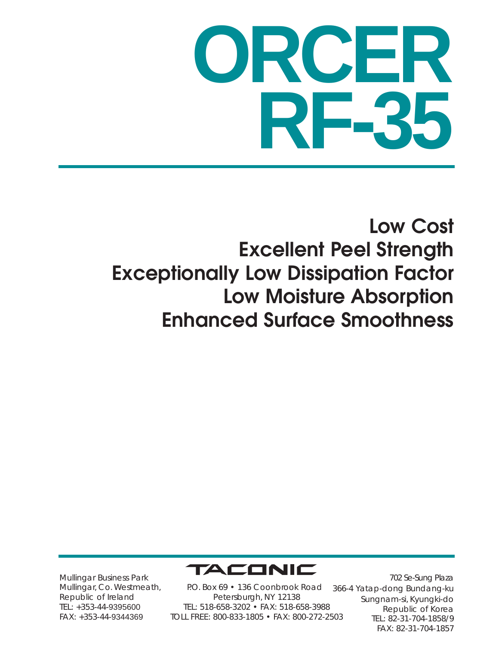# **ORCER RF-35**

### **Low Cost Excellent Peel Strength Exceptionally Low Dissipation Factor Low Moisture Absorption Enhanced Surface Smoothness**



Mullingar Business Park Mullingar, Co. Westmeath, Republic of Ireland TEL: +353-44-9395600 FAX: +353-44-9344369

P.O. Box 69 • 136 Coonbrook Road Petersburgh, NY 12138 TEL: 518-658-3202 • FAX: 518-658-3988 TOLL FREE: 800-833-1805 • FAX: 800-272-2503

702 Se-Sung Plaza 366-4 Yatap-dong Bundang-ku Sungnam-si, Kyungki-do Republic of Korea TEL: 82-31-704-1858/9 FAX: 82-31-704-1857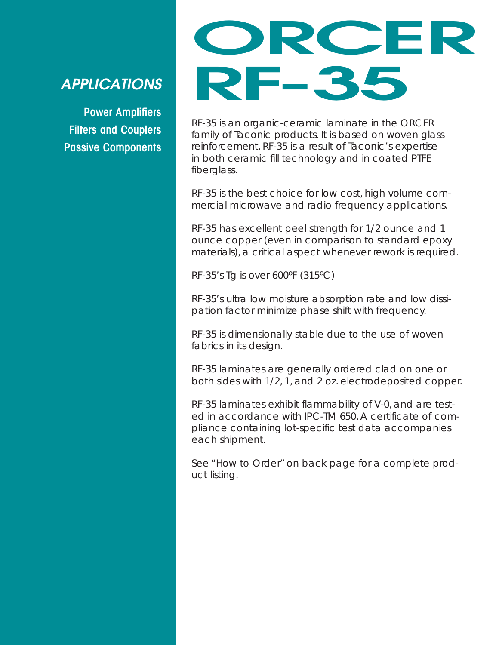#### *APPLICATIONS*

**Power Amplifiers Filters and Couplers Passive Components**

### **ORCER RF-35**

RF-35 is an organic-ceramic laminate in the ORCER family of Taconic products. It is based on woven glass reinforcement. RF-35 is a result of Taconic's expertise in both ceramic fill technology and in coated PTFE fiberglass.

RF-35 is the best choice for low cost, high volume commercial microwave and radio frequency applications.

RF-35 has excellent peel strength for 1/2 ounce and 1 ounce copper (even in comparison to standard epoxy materials), a critical aspect whenever rework is required.

RF-35's Tg is over 600ºF (315ºC)

RF-35's ultra low moisture absorption rate and low dissipation factor minimize phase shift with frequency.

RF-35 is dimensionally stable due to the use of woven fabrics in its design.

RF-35 laminates are generally ordered clad on one or both sides with 1/2, 1, and 2 oz. electrodeposited copper.

RF-35 laminates exhibit flammability of V-0, and are tested in accordance with IPC-TM 650. A certificate of compliance containing lot-specific test data accompanies each shipment.

See "How to Order" on back page for a complete product listing.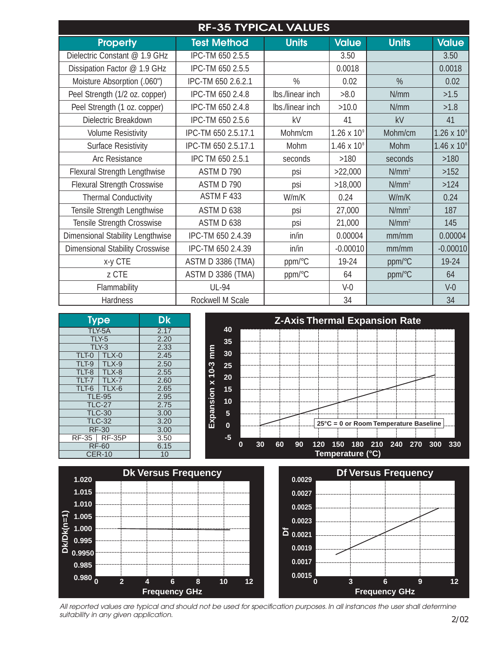| <b>RF-35 TYPICAL VALUES</b>             |                     |                  |                      |              |                      |  |  |  |  |
|-----------------------------------------|---------------------|------------------|----------------------|--------------|----------------------|--|--|--|--|
| <b>Property</b>                         | <b>Test Method</b>  | <b>Units</b>     | <b>Value</b>         | <b>Units</b> | <b>Value</b>         |  |  |  |  |
| Dielectric Constant @ 1.9 GHz           | IPC-TM 650 2.5.5    |                  | 3.50                 |              | 3.50                 |  |  |  |  |
| Dissipation Factor @ 1.9 GHz            | IPC-TM 650 2.5.5    |                  | 0.0018               |              | 0.0018               |  |  |  |  |
| Moisture Absorption (.060")             | IPC-TM 650 2.6.2.1  | $\%$             | 0.02                 | %            | 0.02                 |  |  |  |  |
| Peel Strength (1/2 oz. copper)          | IPC-TM 650 2.4.8    | Ibs./linear inch | >8.0                 | N/mm         | >1.5                 |  |  |  |  |
| Peel Strength (1 oz. copper)            | IPC-TM 650 2.4.8    | Ibs./linear inch | >10.0                | N/mm         | >1.8                 |  |  |  |  |
| Dielectric Breakdown                    | IPC-TM 650 2.5.6    | kV               | 41                   | kV           | 41                   |  |  |  |  |
| <b>Volume Resistivity</b>               | IPC-TM 650 2.5.17.1 | Mohm/cm          | $1.26 \times 10^{9}$ | Mohm/cm      | 1.26 x $10^{\circ}$  |  |  |  |  |
| <b>Surface Resistivity</b>              | IPC-TM 650 2.5.17.1 | Mohm             | $1.46 \times 10^{8}$ | <b>Mohm</b>  | $1.46 \times 10^{8}$ |  |  |  |  |
| Arc Resistance                          | IPC TM 650 2.5.1    | seconds          | $>180$               | seconds      | $>180$               |  |  |  |  |
| Flexural Strength Lengthwise            | ASTM D 790          | psi              | >22,000              | $N/mm^2$     | >152                 |  |  |  |  |
| <b>Flexural Strength Crosswise</b>      | ASTM D 790          | psi              | >18,000              | $N/mm^2$     | >124                 |  |  |  |  |
| <b>Thermal Conductivity</b>             | <b>ASTM F 433</b>   | W/m/K            | 0.24                 | W/m/K        | 0.24                 |  |  |  |  |
| Tensile Strength Lengthwise             | ASTM D 638          | psi              | 27,000               | $N/mm^2$     | 187                  |  |  |  |  |
| Tensile Strength Crosswise              | ASTM D 638          | psi              | 21,000               | $N/mm^2$     | 145                  |  |  |  |  |
| <b>Dimensional Stability Lengthwise</b> | IPC-TM 650 2.4.39   | in/in            | 0.00004              | mm/mm        | 0.00004              |  |  |  |  |
| <b>Dimensional Stability Crosswise</b>  | IPC-TM 650 2.4.39   | in/in            | $-0.00010$           | mm/mm        | $-0.00010$           |  |  |  |  |
| x-y CTE                                 | ASTM D 3386 (TMA)   | ppm/°C           | 19-24                | ppm/°C       | 19-24                |  |  |  |  |
| z CTE                                   | ASTM D 3386 (TMA)   | ppm/°C           | 64                   | ppm/°C       | 64                   |  |  |  |  |
| Flammability                            | <b>UL-94</b>        |                  | $V-0$                |              | $V-0$                |  |  |  |  |
| Hardness                                | Rockwell M Scale    |                  | 34                   |              | 34                   |  |  |  |  |





*All reported values are typical and should not be used for specification purposes. In all instances the user shall determine suitability in any given application.*